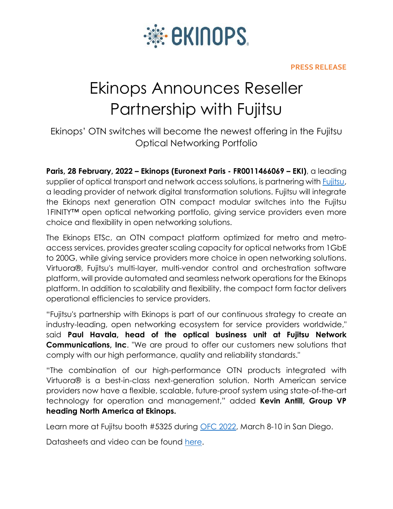

## **PRESS RELEASE**

## Ekinops Announces Reseller Partnership with Fujitsu

Ekinops' OTN switches will become the newest offering in the Fujitsu Optical Networking Portfolio

**Paris, 28 February, 2022 – Ekinops (Euronext Paris - FR0011466069 – EKI)**, a leading supplier of optical transport and network access solutions, is partnering with [Fujitsu,](https://www.fujitsu.com/us/products/network/) a leading provider of network digital transformation solutions. Fujitsu will integrate the Ekinops next generation OTN compact modular switches into the Fujitsu 1FINITY™ open optical networking portfolio, giving service providers even more choice and flexibility in open networking solutions.

The Ekinops ETSc, an OTN compact platform optimized for metro and metroaccess services, provides greater scaling capacity for optical networks from 1GbE to 200G, while giving service providers more choice in open networking solutions. Virtuora®, Fujitsu's multi-layer, multi-vendor control and orchestration software platform, will provide automated and seamless network operations for the Ekinops platform. In addition to scalability and flexibility, the compact form factor delivers operational efficiencies to service providers.

"Fujitsu's partnership with Ekinops is part of our continuous strategy to create an industry-leading, open networking ecosystem for service providers worldwide," said **Paul Havala, head of the optical business unit at Fujitsu Network Communications, Inc**. "We are proud to offer our customers new solutions that comply with our high performance, quality and reliability standards."

"The combination of our high-performance OTN products integrated with Virtuora® is a best-in-class next-generation solution. North American service providers now have a flexible, scalable, future-proof system using state-of-the-art technology for operation and management," added **Kevin Antill, Group VP heading North America at Ekinops.**

Learn more at Fujitsu booth #5325 during [OFC 2022,](https://www.ofcconference.org/en-us/home/) March 8-10 in San Diego.

Datasheets and video can be found [here.](https://fujitsu.lookbookhq.com/ekinops-vy?utm_source=pr&utm_medium=ex-site)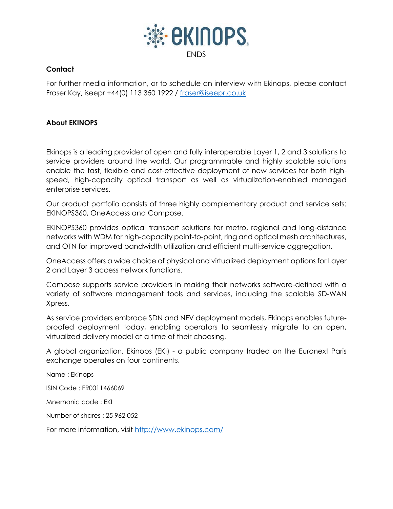

## **Contact**

For further media information, or to schedule an interview with Ekinops, please contact Fraser Kay, iseepr +44(0) 113 350 1922 / [fraser@iseepr.co.uk](mailto:fraser@iseepr.co.uk)

## **About EKINOPS**

Ekinops is a leading provider of open and fully interoperable Layer 1, 2 and 3 solutions to service providers around the world. Our programmable and highly scalable solutions enable the fast, flexible and cost-effective deployment of new services for both highspeed, high-capacity optical transport as well as virtualization-enabled managed enterprise services.

Our product portfolio consists of three highly complementary product and service sets: EKINOPS360, OneAccess and Compose.

EKINOPS360 provides optical transport solutions for metro, regional and long-distance networks with WDM for high-capacity point-to-point, ring and optical mesh architectures, and OTN for improved bandwidth utilization and efficient multi-service aggregation.

OneAccess offers a wide choice of physical and virtualized deployment options for Layer 2 and Layer 3 access network functions.

Compose supports service providers in making their networks software-defined with a variety of software management tools and services, including the scalable SD-WAN Xpress.

As service providers embrace SDN and NFV deployment models, Ekinops enables futureproofed deployment today, enabling operators to seamlessly migrate to an open, virtualized delivery model at a time of their choosing.

A global organization, Ekinops (EKI) - a public company traded on the Euronext Paris exchange operates on four continents.

Name : Ekinops

ISIN Code : FR0011466069

Mnemonic code : EKI

Number of shares : 25 962 052

For more information, visit<http://www.ekinops.com/>